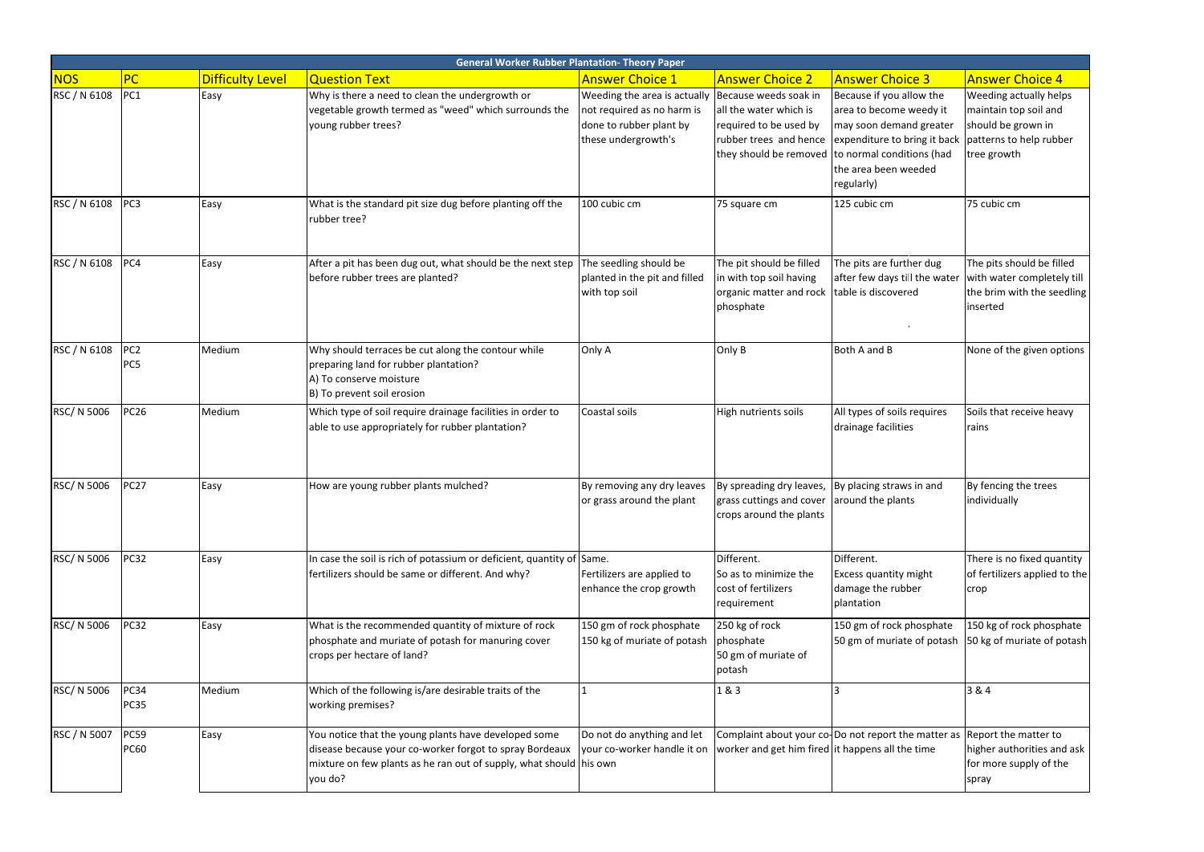| <b>General Worker Rubber Plantation- Theory Paper</b> |                            |                         |                                                                                                                                                                                                  |                                                                                                              |                                                                                                                            |                                                                                                                                                                                                          |                                                                                                                 |
|-------------------------------------------------------|----------------------------|-------------------------|--------------------------------------------------------------------------------------------------------------------------------------------------------------------------------------------------|--------------------------------------------------------------------------------------------------------------|----------------------------------------------------------------------------------------------------------------------------|----------------------------------------------------------------------------------------------------------------------------------------------------------------------------------------------------------|-----------------------------------------------------------------------------------------------------------------|
| <b>NOS</b>                                            | PC                         | <b>Difficulty Level</b> | <b>Question Text</b>                                                                                                                                                                             | <b>Answer Choice 1</b>                                                                                       | <b>Answer Choice 2</b>                                                                                                     | <b>Answer Choice 3</b>                                                                                                                                                                                   | <b>Answer Choice 4</b>                                                                                          |
| RSC / N 6108                                          | PC1                        | Easy                    | Why is there a need to clean the undergrowth or<br>vegetable growth termed as "weed" which surrounds the<br>young rubber trees?                                                                  | Weeding the area is actually<br>not required as no harm is<br>done to rubber plant by<br>these undergrowth's | Because weeds soak in<br>all the water which is<br>required to be used by<br>rubber trees and hence                        | Because if you allow the<br>area to become weedy it<br>may soon demand greater<br>expenditure to bring it back<br>they should be removed to normal conditions (had<br>the area been weeded<br>regularly) | Weeding actually helps<br>maintain top soil and<br>should be grown in<br>patterns to help rubber<br>tree growth |
| RSC / N 6108                                          | PC <sub>3</sub>            | Easy                    | What is the standard pit size dug before planting off the<br>rubber tree?                                                                                                                        | 100 cubic cm                                                                                                 | 75 square cm                                                                                                               | 125 cubic cm                                                                                                                                                                                             | 75 cubic cm                                                                                                     |
| RSC / N 6108                                          | PC4                        | Easy                    | After a pit has been dug out, what should be the next step<br>before rubber trees are planted?                                                                                                   | The seedling should be<br>planted in the pit and filled<br>with top soil                                     | The pit should be filled<br>in with top soil having<br>organic matter and rock<br>phosphate                                | The pits are further dug<br>after few days till the water<br>table is discovered                                                                                                                         | The pits should be filled<br>with water completely till<br>the brim with the seedling<br>inserted               |
| RSC / N 6108                                          | PC <sub>2</sub><br>PC5     | Medium                  | Why should terraces be cut along the contour while<br>preparing land for rubber plantation?<br>A) To conserve moisture<br>B) To prevent soil erosion                                             | Only A                                                                                                       | Only B                                                                                                                     | Both A and B                                                                                                                                                                                             | None of the given options                                                                                       |
| RSC/ N 5006                                           | <b>PC26</b>                | Medium                  | Which type of soil require drainage facilities in order to<br>able to use appropriately for rubber plantation?                                                                                   | Coastal soils                                                                                                | High nutrients soils                                                                                                       | All types of soils requires<br>drainage facilities                                                                                                                                                       | Soils that receive heavy<br>rains                                                                               |
| RSC/ N 5006                                           | <b>PC27</b>                | Easy                    | How are young rubber plants mulched?                                                                                                                                                             | By removing any dry leaves<br>or grass around the plant                                                      | By spreading dry leaves, By placing straws in and<br>grass cuttings and cover around the plants<br>crops around the plants |                                                                                                                                                                                                          | By fencing the trees<br>individually                                                                            |
| RSC/ N 5006                                           | <b>PC32</b>                | Easy                    | In case the soil is rich of potassium or deficient, quantity of Same.<br>fertilizers should be same or different. And why?                                                                       | Fertilizers are applied to<br>enhance the crop growth                                                        | Different.<br>So as to minimize the<br>cost of fertilizers<br>requirement                                                  | Different.<br><b>Excess quantity might</b><br>damage the rubber<br>plantation                                                                                                                            | There is no fixed quantity<br>of fertilizers applied to the<br><b>crop</b>                                      |
| RSC/ N 5006                                           | <b>PC32</b>                | Easy                    | What is the recommended quantity of mixture of rock<br>phosphate and muriate of potash for manuring cover<br>crops per hectare of land?                                                          | 150 gm of rock phosphate<br>150 kg of muriate of potash                                                      | 250 kg of rock<br>phosphate<br>50 gm of muriate of<br>potash                                                               | 150 gm of rock phosphate<br>50 gm of muriate of potash                                                                                                                                                   | 150 kg of rock phosphate<br>50 kg of muriate of potash                                                          |
| RSC/ N 5006                                           | <b>PC34</b><br>PC35        | Medium                  | Which of the following is/are desirable traits of the<br>working premises?                                                                                                                       |                                                                                                              | 1&3                                                                                                                        |                                                                                                                                                                                                          | 3 & 4                                                                                                           |
| RSC / N 5007                                          | <b>PC59</b><br><b>PC60</b> | Easy                    | You notice that the young plants have developed some<br>disease because your co-worker forgot to spray Bordeaux<br>mixture on few plants as he ran out of supply, what should his own<br>you do? | Do not do anything and let<br>your co-worker handle it on                                                    | worker and get him fired it happens all the time                                                                           | Complaint about your co-Do not report the matter as                                                                                                                                                      | Report the matter to<br>higher authorities and ask<br>for more supply of the<br>spray                           |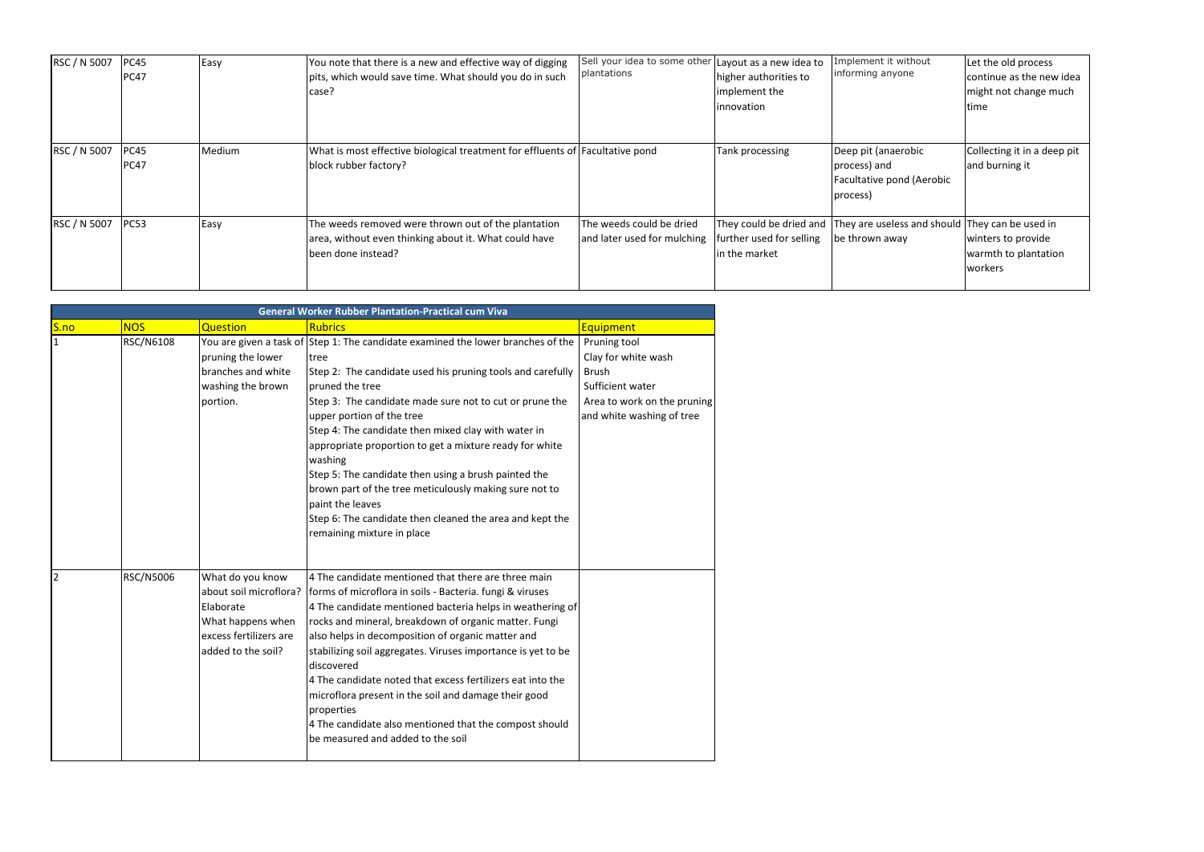| RSC / N 5007 | PC45<br>PC47 | Easy   | You note that there is a new and effective way of digging<br>pits, which would save time. What should you do in such<br>case?      | Sell your idea to some other<br>plantations             | Layout as a new idea to<br>higher authorities to<br>implement the<br>innovation | Implement it without<br>informing anyone                                     | Let the old process<br>continue as the new idea<br>might not change much<br>time |
|--------------|--------------|--------|------------------------------------------------------------------------------------------------------------------------------------|---------------------------------------------------------|---------------------------------------------------------------------------------|------------------------------------------------------------------------------|----------------------------------------------------------------------------------|
| RSC / N 5007 | PC45<br>PC47 | Medium | What is most effective biological treatment for effluents of Facultative pond<br>block rubber factory?                             |                                                         | Tank processing                                                                 | Deep pit (anaerobic<br>process) and<br>Facultative pond (Aerobic<br>process) | Collecting it in a deep pit<br>and burning it                                    |
| RSC / N 5007 | PC53         | Easy   | The weeds removed were thrown out of the plantation<br>area, without even thinking about it. What could have<br>been done instead? | The weeds could be dried<br>and later used for mulching | They could be dried and<br>further used for selling<br>in the market            | They are useless and should They can be used in<br>be thrown away            | winters to provide<br>warmth to plantation<br>workers                            |

|              | <b>General Worker Rubber Plantation-Practical cum Viva</b> |                                                                                                                              |                                                                                                                                                                                                                                                                                                                                                                                                                                                                                                                                                                                                                                        |                                                                                                                                     |  |  |  |
|--------------|------------------------------------------------------------|------------------------------------------------------------------------------------------------------------------------------|----------------------------------------------------------------------------------------------------------------------------------------------------------------------------------------------------------------------------------------------------------------------------------------------------------------------------------------------------------------------------------------------------------------------------------------------------------------------------------------------------------------------------------------------------------------------------------------------------------------------------------------|-------------------------------------------------------------------------------------------------------------------------------------|--|--|--|
| S.no         | <b>NOS</b>                                                 | <b>Question</b>                                                                                                              | <b>Rubrics</b>                                                                                                                                                                                                                                                                                                                                                                                                                                                                                                                                                                                                                         | <b>Equipment</b>                                                                                                                    |  |  |  |
| $\mathbf{1}$ | <b>RSC/N6108</b>                                           | pruning the lower<br>branches and white<br>washing the brown<br>portion.                                                     | You are given a task of Step 1: The candidate examined the lower branches of the<br><b>Itree</b><br>Step 2: The candidate used his pruning tools and carefully<br>pruned the tree<br>Step 3: The candidate made sure not to cut or prune the<br>upper portion of the tree<br>Step 4: The candidate then mixed clay with water in<br>appropriate proportion to get a mixture ready for white<br>washing<br>Step 5: The candidate then using a brush painted the<br>brown part of the tree meticulously making sure not to<br>paint the leaves<br>Step 6: The candidate then cleaned the area and kept the<br>remaining mixture in place | Pruning tool<br>Clay for white wash<br><b>Brush</b><br>Sufficient water<br>Area to work on the pruning<br>and white washing of tree |  |  |  |
| 2            | RSC/N5006                                                  | What do you know<br>about soil microflora?<br>Elaborate<br>What happens when<br>excess fertilizers are<br>added to the soil? | 4 The candidate mentioned that there are three main<br>forms of microflora in soils - Bacteria. fungi & viruses<br>4 The candidate mentioned bacteria helps in weathering of<br>rocks and mineral, breakdown of organic matter. Fungi<br>also helps in decomposition of organic matter and<br>stabilizing soil aggregates. Viruses importance is yet to be<br>discovered<br>4 The candidate noted that excess fertilizers eat into the<br>microflora present in the soil and damage their good<br>properties<br>4 The candidate also mentioned that the compost should<br>be measured and added to the soil                            |                                                                                                                                     |  |  |  |